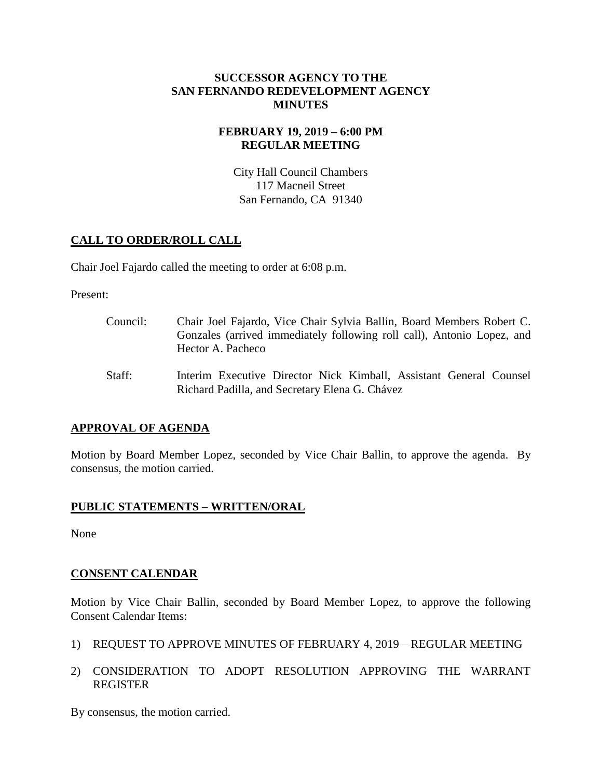#### **SUCCESSOR AGENCY TO THE SAN FERNANDO REDEVELOPMENT AGENCY MINUTES**

#### **FEBRUARY 19, 2019 – 6:00 PM REGULAR MEETING**

City Hall Council Chambers 117 Macneil Street San Fernando, CA 91340

# **CALL TO ORDER/ROLL CALL**

Chair Joel Fajardo called the meeting to order at 6:08 p.m.

Present:

| Council: | Chair Joel Fajardo, Vice Chair Sylvia Ballin, Board Members Robert C.<br>Gonzales (arrived immediately following roll call), Antonio Lopez, and<br>Hector A. Pacheco |
|----------|----------------------------------------------------------------------------------------------------------------------------------------------------------------------|
| Staff:   | Interim Executive Director Nick Kimball, Assistant General Counsel<br>Richard Padilla, and Secretary Elena G. Chávez                                                 |

# **APPROVAL OF AGENDA**

Motion by Board Member Lopez, seconded by Vice Chair Ballin, to approve the agenda. By consensus, the motion carried.

# **PUBLIC STATEMENTS – WRITTEN/ORAL**

None

# **CONSENT CALENDAR**

Motion by Vice Chair Ballin, seconded by Board Member Lopez, to approve the following Consent Calendar Items:

- 1) REQUEST TO APPROVE MINUTES OF FEBRUARY 4, 2019 REGULAR MEETING
- 2) CONSIDERATION TO ADOPT RESOLUTION APPROVING THE WARRANT REGISTER

By consensus, the motion carried.